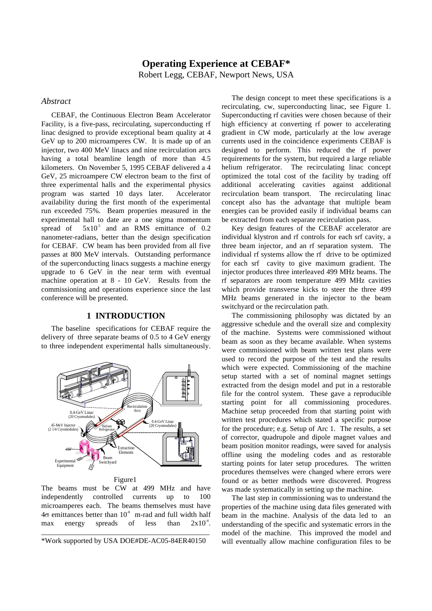# **Operating Experience at CEBAF\*** Robert Legg, CEBAF, Newport News, USA

## *Abstract*

CEBAF, the Continuous Electron Beam Accelerator Facility, is a five-pass, recirculating, superconducting rf linac designed to provide exceptional beam quality at 4 GeV up to 200 microamperes CW. It is made up of an injector, two 400 MeV linacs and nine recirculation arcs having a total beamline length of more than 4.5 kilometers. On November 5, 1995 CEBAF delivered a 4 GeV, 25 microampere CW electron beam to the first of three experimental halls and the experimental physics program was started 10 days later. Accelerator availability during the first month of the experimental run exceeded 75%. Beam properties measured in the experimental hall to date are a one sigma momentum spread of  $5x10^{-5}$  and an RMS emittance of 0.2 nanometer-radians, better than the design specification for CEBAF. CW beam has been provided from all five passes at 800 MeV intervals. Outstanding performance of the superconducting linacs suggests a machine energy upgrade to 6 GeV in the near term with eventual machine operation at 8 - 10 GeV. Results from the commissioning and operations experience since the last conference will be presented.

## **1 INTRODUCTION**

The baseline specifications for CEBAF require the delivery of three separate beams of 0.5 to 4 GeV energy to three independent experimental halls simultaneously.



Figure1

The beams must be CW at 499 MHz and have independently controlled currents up to 100 microamperes each. The beams themselves must have  $4\sigma$  emittances better than  $10^{-8}$  m-rad and full width half max energy spreads of less than  $2x10^4$ .

\_\_\_\_\_\_\_\_\_\_\_\_\_\_\_\_\_\_\_\_\_\_\_\_\_\_\_\_\_\_\_\_\_\_\_\_\_\_\_\_\_\_\_\_\_\_ \*Work supported by USA DOE#DE-AC05-84ER40150

The design concept to meet these specifications is a recirculating, cw, superconducting linac, see Figure 1. Superconducting rf cavities were chosen because of their high efficiency at converting rf power to accelerating gradient in CW mode, particularly at the low average currents used in the coincidence experiments CEBAF is designed to perform. This reduced the rf power requirements for the system, but required a large reliable helium refrigerator. The recirculating linac concept optimized the total cost of the facility by trading off additional accelerating cavities against additional recirculation beam transport. The recirculating linac concept also has the advantage that multiple beam energies can be provided easily if individual beams can be extracted from each separate recirculation pass.

Key design features of the CEBAF accelerator are individual klystron and rf controls for each srf cavity, a three beam injector, and an rf separation system. The individual rf systems allow the rf drive to be optimized for each srf cavity to give maximum gradient. The injector produces three interleaved 499 MHz beams. The rf separators are room temperature 499 MHz cavities which provide transverse kicks to steer the three 499 MHz beams generated in the injector to the beam switchyard or the recirculation path.

The commissioning philosophy was dictated by an aggressive schedule and the overall size and complexity of the machine. Systems were commissioned without beam as soon as they became available. When systems were commissioned with beam written test plans were used to record the purpose of the test and the results which were expected. Commissioning of the machine setup started with a set of nominal magnet settings extracted from the design model and put in a restorable file for the control system. These gave a reproducible starting point for all commissioning procedures. Machine setup proceeded from that starting point with written test procedures which stated a specific purpose for the procedure; e.g. Setup of Arc 1. The results, a set of corrector, quadrupole and dipole magnet values and beam position monitor readings, were saved for analysis offline using the modeling codes and as restorable starting points for later setup procedures. The written procedures themselves were changed where errors were found or as better methods were discovered. Progress was made systematically in setting up the machine.

The last step in commissioning was to understand the properties of the machine using data files generated with beam in the machine. Analysis of the data led to an understanding of the specific and systematic errors in the model of the machine. This improved the model and will eventually allow machine configuration files to be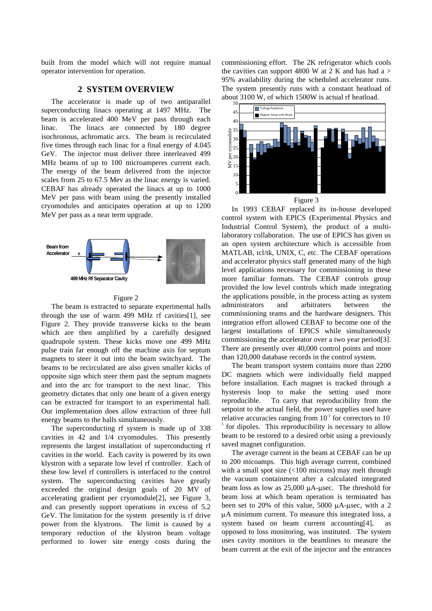built from the model which will not require manual operator intervention for operation.

## **2 SYSTEM OVERVIEW**

The accelerator is made up of two antiparallel superconducting linacs operating at 1497 MHz. The beam is accelerated 400 MeV per pass through each linac. The linacs are connected by 180 degree isochronous, achromatic arcs. The beam is recirculated five times through each linac for a final energy of 4.045 GeV. The injector must deliver three interleaved 499 MHz beams of up to 100 microamperes current each. The energy of the beam delivered from the injector scales from 25 to 67.5 Mev as the linac energy is varied. CEBAF has already operated the linacs at up to 1000 MeV per pass with beam using the presently installed cryomodules and anticipates operation at up to 1200 MeV per pass as a near term upgrade.



#### Figure 2

The beam is extracted to separate experimental halls through the use of warm 499 MHz rf cavities[1], see Figure 2. They provide transverse kicks to the beam which are then amplified by a carefully designed quadrupole system. These kicks move one 499 MHz pulse train far enough off the machine axis for septum magnets to steer it out into the beam switchyard. The beams to be recirculated are also given smaller kicks of opposite sign which steer them past the septum magnets and into the arc for transport to the next linac. This geometry dictates that only one beam of a given energy can be extracted for transport to an experimental hall. Our implementation does allow extraction of three full energy beams to the halls simultaneously.

The superconducting rf system is made up of 338 cavities in 42 and 1/4 cryomodules. This presently represents the largest installation of superconducting rf cavities in the world. Each cavity is powered by its own klystron with a separate low level rf controller. Each of these low level rf controllers is interfaced to the control system. The superconducting cavities have greatly exceeded the original design goals of 20 MV of accelerating gradient per cryomodule[2], see Figure 3, and can presently support operations in excess of 5.2 GeV. The limitation for the system presently is rf drive power from the klystrons. The limit is caused by a temporary reduction of the klystron beam voltage performed to lower site energy costs during the commissioning effort. The 2K refrigerator which cools the cavities can support 4800 W at 2 K and has had a  $>$ 95% availability during the scheduled accelerator runs. The system presently runs with a constant heatload of about 3100 W, of which 1500W is actual rf heatload.



Figure 3

In 1993 CEBAF replaced its in-house developed control system with EPICS (Experimental Physics and Industrial Control System), the product of a multilaboratory collaboration. The use of EPICS has given us an open system architecture which is accessible from MATLAB, tcl/tk, UNIX, C, etc. The CEBAF operations and accelerator physics staff generated many of the high level applications necessary for commissioning in these more familiar formats. The CEBAF controls group provided the low level controls which made integrating the applications possible, in the process acting as system administrators and arbitraters between the commissioning teams and the hardware designers. This integration effort allowed CEBAF to become one of the largest installations of EPICS while simultaneously commissioning the accelerator over a two year period[3]. There are presently over 40,000 control points and more than 120,000 database records in the control system.

The beam transport system contains more than 2200 DC magnets which were individually field mapped before installation. Each magnet is tracked through a hysteresis loop to make the setting used more reproducible. To carry that reproducibility from the setpoint to the actual field, the power supplies used have relative accuracies ranging from  $10<sup>3</sup>$  for correctors to 10<sup>-3</sup> 5 for dipoles. This reproducibility is necessary to allow beam to be restored to a desired orbit using a previously saved magnet configuration.

The average current in the beam at CEBAF can be up to 200 micoamps. This high average current, combined with a small spot size (<100 microns) may melt through the vacuum containment after a calculated integrated beam loss as low as  $25,000 \mu A$ -usec. The threshold for beam loss at which beam operation is terminated has been set to 20% of this value, 5000  $\mu$ A- $\mu$ sec, with a 2  $\mu$ A minimum current. To measure this integrated loss, a system based on beam current accounting[4], as opposed to loss monitoring, was instituted. The system uses cavity monitors in the beamlines to measure the beam current at the exit of the injector and the entrances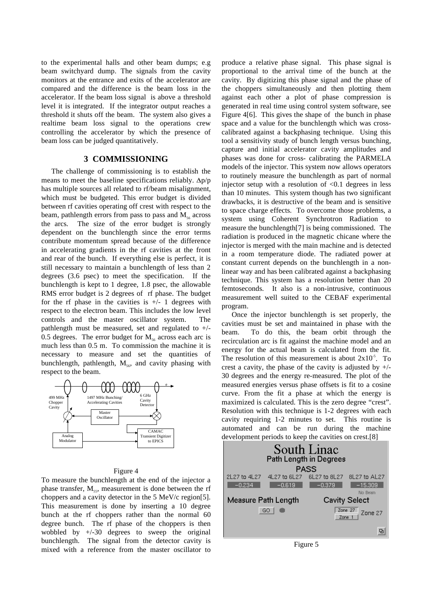to the experimental halls and other beam dumps; e.g beam switchyard dump. The signals from the cavity monitors at the entrance and exits of the accelerator are compared and the difference is the beam loss in the accelerator. If the beam loss signal is above a threshold level it is integrated. If the integrator output reaches a threshold it shuts off the beam. The system also gives a realtime beam loss signal to the operations crew controlling the accelerator by which the presence of beam loss can be judged quantitatively.

### **3 COMMISSIONING**

The challenge of commissioning is to establish the means to meet the baseline specifications reliably.  $\Delta p/p$ has multiple sources all related to rf/beam misalignment, which must be budgeted. This error budget is divided between rf cavities operating off crest with respect to the beam, pathlength errors from pass to pass and  $M_{ss}$  across the arcs. The size of the error budget is strongly dependent on the bunchlength since the error terms contribute momentum spread because of the difference in accelerating gradients in the rf cavities at the front and rear of the bunch. If everything else is perfect, it is still necessary to maintain a bunchlength of less than 2 degrees (3.6 psec) to meet the specification. If the bunchlength is kept to 1 degree, 1.8 psec, the allowable RMS error budget is 2 degrees of rf phase. The budget for the rf phase in the cavities is  $+/- 1$  degrees with respect to the electron beam. This includes the low level controls and the master oscillator system. The pathlength must be measured, set and regulated to +/- 0.5 degrees. The error budget for  $M_{56}$  across each arc is much less than 0.5 m. To commission the machine it is necessary to measure and set the quantities of bunchlength, pathlength,  $M<sub>56</sub>$ , and cavity phasing with respect to the beam.



#### Figure 4

To measure the bunchlength at the end of the injector a phase transfer,  $M_{ss}$ , measurement is done between the rf choppers and a cavity detector in the 5 MeV/c region[5]. This measurement is done by inserting a 10 degree bunch at the rf choppers rather than the normal 60 degree bunch. The rf phase of the choppers is then wobbled by +/-30 degrees to sweep the original bunchlength. The signal from the detector cavity is mixed with a reference from the master oscillator to

produce a relative phase signal. This phase signal is proportional to the arrival time of the bunch at the cavity. By digitizing this phase signal and the phase of the choppers simultaneously and then plotting them against each other a plot of phase compression is generated in real time using control system software, see Figure 4[6]. This gives the shape of the bunch in phase space and a value for the bunchlength which was crosscalibrated against a backphasing technique. Using this tool a sensitivity study of bunch length versus bunching, capture and initial accelerator cavity amplitudes and phases was done for cross- calibrating the PARMELA models of the injector. This system now allows operators to routinely measure the bunchlength as part of normal injector setup with a resolution of  $\leq 0.1$  degrees in less than 10 minutes. This system though has two significant drawbacks, it is destructive of the beam and is sensitive to space charge effects. To overcome those problems, a system using Coherent Synchrotron Radiation to measure the bunchlength[7] is being commissioned. The radiation is produced in the magnetic chicane where the injector is merged with the main machine and is detected in a room temperature diode. The radiated power at constant current depends on the bunchlength in a nonlinear way and has been calibrated against a backphasing technique. This system has a resolution better than 20 femtoseconds. It also is a non-intrusive, continuous measurement well suited to the CEBAF experimental program.

Once the injector bunchlength is set properly, the cavities must be set and maintained in phase with the beam. To do this, the beam orbit through the recirculation arc is fit against the machine model and an energy for the actual beam is calculated from the fit. The resolution of this measurement is about  $2x10<sup>-5</sup>$ . To crest a cavity, the phase of the cavity is adjusted by  $+/-$ 30 degrees and the energy re-measured. The plot of the measured energies versus phase offsets is fit to a cosine curve. From the fit a phase at which the energy is maximized is calculated. This is the zero degree "crest". Resolution with this technique is 1-2 degrees with each cavity requiring 1-2 minutes to set. This routine is automated and can be run during the machine development periods to keep the cavities on crest.[8]



Figure 5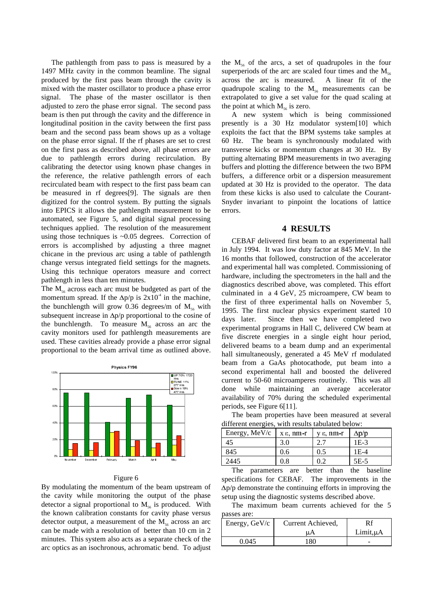The pathlength from pass to pass is measured by a 1497 MHz cavity in the common beamline. The signal produced by the first pass beam through the cavity is mixed with the master oscillator to produce a phase error signal. The phase of the master oscillator is then adjusted to zero the phase error signal. The second pass beam is then put through the cavity and the difference in longitudinal position in the cavity between the first pass beam and the second pass beam shows up as a voltage on the phase error signal. If the rf phases are set to crest on the first pass as described above, all phase errors are due to pathlength errors during recirculation. By calibrating the detector using known phase changes in the reference, the relative pathlength errors of each recirculated beam with respect to the first pass beam can be measured in rf degrees[9]. The signals are then digitized for the control system. By putting the signals into EPICS it allows the pathlength measurement to be automated, see Figure 5, and digital signal processing techniques applied. The resolution of the measurement using those techniques is ~0.05 degrees. Correction of errors is accomplished by adjusting a three magnet chicane in the previous arc using a table of pathlength change versus integrated field settings for the magnets. Using this technique operators measure and correct pathlength in less than ten minutes.

The  $M_{56}$  across each arc must be budgeted as part of the momentum spread. If the  $\Delta p/p$  is  $2x10^4$  in the machine, the bunchlength will grow 0.36 degrees/m of  $M_{56}$  with subsequent increase in  $\Delta p/p$  proportional to the cosine of the bunchlength. To measure  $M_{56}$  across an arc the cavity monitors used for pathlength measurements are used. These cavities already provide a phase error signal proportional to the beam arrival time as outlined above.



#### Figure 6

By modulating the momentum of the beam upstream of the cavity while monitoring the output of the phase detector a signal proportional to  $M_{56}$  is produced. With the known calibration constants for cavity phase versus detector output, a measurement of the  $M<sub>56</sub>$  across an arc can be made with a resolution of better than 10 cm in 2 minutes. This system also acts as a separate check of the arc optics as an isochronous, achromatic bend. To adjust the  $M_{56}$  of the arcs, a set of quadrupoles in the four superperiods of the arc are scaled four times and the  $M_{56}$ across the arc is measured. A linear fit of the quadrupole scaling to the  $M_{56}$  measurements can be extrapolated to give a set value for the quad scaling at the point at which  $M_{56}$  is zero.

A new system which is being commissioned presently is a 30 Hz modulator system[10] which exploits the fact that the BPM systems take samples at 60 Hz. The beam is synchronously modulated with transverse kicks or momentum changes at 30 Hz. By putting alternating BPM measurements in two averaging buffers and plotting the difference between the two BPM buffers, a difference orbit or a dispersion measurement updated at 30 Hz is provided to the operator. The data from these kicks is also used to calculate the Courant-Snyder invariant to pinpoint the locations of lattice errors.

## **4 RESULTS**

CEBAF delivered first beam to an experimental hall in July 1994. It was low duty factor at 845 MeV. In the 16 months that followed, construction of the accelerator and experimental hall was completed. Commissioning of hardware, including the spectrometers in the hall and the diagnostics described above, was completed. This effort culminated in a 4 GeV, 25 microampere, CW beam to the first of three experimental halls on November 5, 1995. The first nuclear physics experiment started 10 days later. Since then we have completed two experimental programs in Hall C, delivered CW beam at five discrete energies in a single eight hour period, delivered beams to a beam dump and an experimental hall simultaneously, generated a 45 MeV rf modulated beam from a GaAs photocathode, put beam into a second experimental hall and boosted the delivered current to 50-60 microamperes routinely. This was all done while maintaining an average accelerator availability of 70% during the scheduled experimental periods, see Figure 6[11].

The beam properties have been measured at several different energies, with results tabulated below:

| Energy, MeV/c | xε nm-r | $y \in$ , $nm-r$ | ∆p/p   |
|---------------|---------|------------------|--------|
| 45            | 3.0     | 2.7              | $1E-3$ |
| 845           | 0.6     | 0.5              | $1E-4$ |
| 2445          | 0.8     | 0.2              | $5E-5$ |

The parameters are better than the baseline specifications for CEBAF. The improvements in the  $\Delta p/p$  demonstrate the continuing efforts in improving the setup using the diagnostic systems described above.

The maximum beam currents achieved for the 5 passes are:

| passes are.   |                   |                |  |  |
|---------------|-------------------|----------------|--|--|
| Energy, GeV/c | Current Achieved, | Rf             |  |  |
|               | uΑ                | $Limit, \mu A$ |  |  |
| 0.045         | 180               |                |  |  |